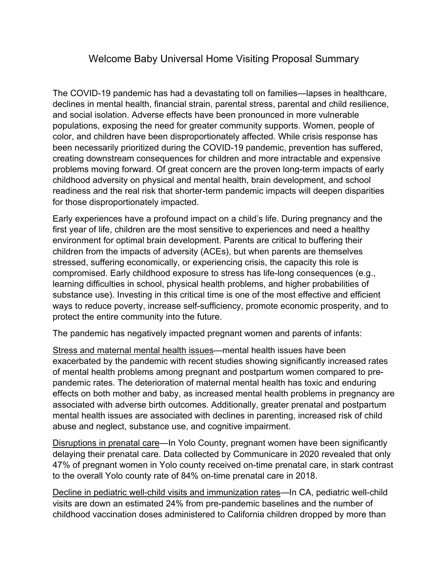## Welcome Baby Universal Home Visiting Proposal Summary

The COVID-19 pandemic has had a devastating toll on families—lapses in healthcare, declines in mental health, financial strain, parental stress, parental and child resilience, and social isolation. Adverse effects have been pronounced in more vulnerable populations, exposing the need for greater community supports. Women, people of color, and children have been disproportionately affected. While crisis response has been necessarily prioritized during the COVID-19 pandemic, prevention has suffered, creating downstream consequences for children and more intractable and expensive problems moving forward. Of great concern are the proven long-term impacts of early childhood adversity on physical and mental health, brain development, and school readiness and the real risk that shorter-term pandemic impacts will deepen disparities for those disproportionately impacted.

Early experiences have a profound impact on a child's life. During pregnancy and the first year of life, children are the most sensitive to experiences and need a healthy environment for optimal brain development. Parents are critical to buffering their children from the impacts of adversity (ACEs), but when parents are themselves stressed, suffering economically, or experiencing crisis, the capacity this role is compromised. Early childhood exposure to stress has life-long consequences (e.g., learning difficulties in school, physical health problems, and higher probabilities of substance use). Investing in this critical time is one of the most effective and efficient ways to reduce poverty, increase self-sufficiency, promote economic prosperity, and to protect the entire community into the future.

The pandemic has negatively impacted pregnant women and parents of infants:

Stress and maternal mental health issues—mental health issues have been exacerbated by the pandemic with recent studies showing significantly increased rates of mental health problems among pregnant and postpartum women compared to prepandemic rates. The deterioration of maternal mental health has toxic and enduring effects on both mother and baby, as increased mental health problems in pregnancy are associated with adverse birth outcomes. Additionally, greater prenatal and postpartum mental health issues are associated with declines in parenting, increased risk of child abuse and neglect, substance use, and cognitive impairment.

Disruptions in prenatal care—In Yolo County, pregnant women have been significantly delaying their prenatal care. Data collected by Communicare in 2020 revealed that only 47% of pregnant women in Yolo county received on-time prenatal care, in stark contrast to the overall Yolo county rate of 84% on-time prenatal care in 2018.

Decline in pediatric well-child visits and immunization rates—In CA, pediatric well-child visits are down an estimated 24% from pre-pandemic baselines and the number of childhood vaccination doses administered to California children dropped by more than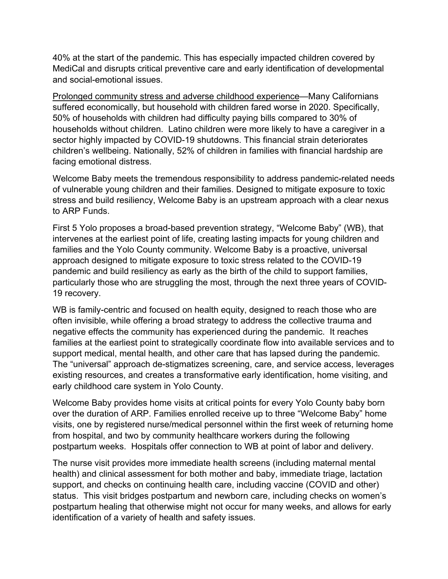40% at the start of the pandemic. This has especially impacted children covered by MediCal and disrupts critical preventive care and early identification of developmental and social-emotional issues.

Prolonged community stress and adverse childhood experience—Many Californians suffered economically, but household with children fared worse in 2020. Specifically, 50% of households with children had difficulty paying bills compared to 30% of households without children. Latino children were more likely to have a caregiver in a sector highly impacted by COVID-19 shutdowns. This financial strain deteriorates children's wellbeing. Nationally, 52% of children in families with financial hardship are facing emotional distress.

Welcome Baby meets the tremendous responsibility to address pandemic-related needs of vulnerable young children and their families. Designed to mitigate exposure to toxic stress and build resiliency, Welcome Baby is an upstream approach with a clear nexus to ARP Funds.

First 5 Yolo proposes a broad-based prevention strategy, "Welcome Baby" (WB), that intervenes at the earliest point of life, creating lasting impacts for young children and families and the Yolo County community. Welcome Baby is a proactive, universal approach designed to mitigate exposure to toxic stress related to the COVID-19 pandemic and build resiliency as early as the birth of the child to support families, particularly those who are struggling the most, through the next three years of COVID-19 recovery.

WB is family-centric and focused on health equity, designed to reach those who are often invisible, while offering a broad strategy to address the collective trauma and negative effects the community has experienced during the pandemic. It reaches families at the earliest point to strategically coordinate flow into available services and to support medical, mental health, and other care that has lapsed during the pandemic. The "universal" approach de-stigmatizes screening, care, and service access, leverages existing resources, and creates a transformative early identification, home visiting, and early childhood care system in Yolo County.

Welcome Baby provides home visits at critical points for every Yolo County baby born over the duration of ARP. Families enrolled receive up to three "Welcome Baby" home visits, one by registered nurse/medical personnel within the first week of returning home from hospital, and two by community healthcare workers during the following postpartum weeks. Hospitals offer connection to WB at point of labor and delivery.

The nurse visit provides more immediate health screens (including maternal mental health) and clinical assessment for both mother and baby, immediate triage, lactation support, and checks on continuing health care, including vaccine (COVID and other) status. This visit bridges postpartum and newborn care, including checks on women's postpartum healing that otherwise might not occur for many weeks, and allows for early identification of a variety of health and safety issues.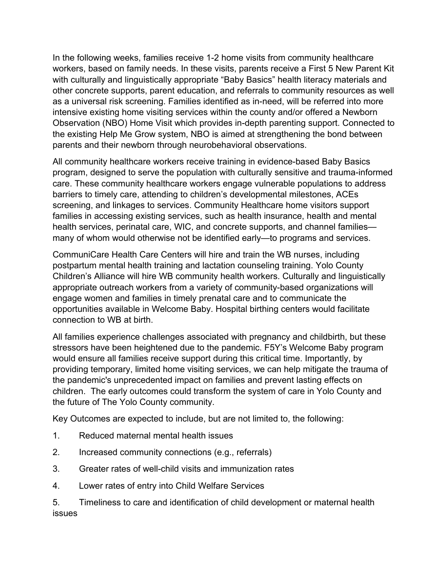In the following weeks, families receive 1-2 home visits from community healthcare workers, based on family needs. In these visits, parents receive a First 5 New Parent Kit with culturally and linguistically appropriate "Baby Basics" health literacy materials and other concrete supports, parent education, and referrals to community resources as well as a universal risk screening. Families identified as in-need, will be referred into more intensive existing home visiting services within the county and/or offered a Newborn Observation (NBO) Home Visit which provides in-depth parenting support. Connected to the existing Help Me Grow system, NBO is aimed at strengthening the bond between parents and their newborn through neurobehavioral observations.

All community healthcare workers receive training in evidence-based Baby Basics program, designed to serve the population with culturally sensitive and trauma-informed care. These community healthcare workers engage vulnerable populations to address barriers to timely care, attending to children's developmental milestones, ACEs screening, and linkages to services. Community Healthcare home visitors support families in accessing existing services, such as health insurance, health and mental health services, perinatal care, WIC, and concrete supports, and channel families many of whom would otherwise not be identified early—to programs and services.

CommuniCare Health Care Centers will hire and train the WB nurses, including postpartum mental health training and lactation counseling training. Yolo County Children's Alliance will hire WB community health workers. Culturally and linguistically appropriate outreach workers from a variety of community-based organizations will engage women and families in timely prenatal care and to communicate the opportunities available in Welcome Baby. Hospital birthing centers would facilitate connection to WB at birth.

All families experience challenges associated with pregnancy and childbirth, but these stressors have been heightened due to the pandemic. F5Y's Welcome Baby program would ensure all families receive support during this critical time. Importantly, by providing temporary, limited home visiting services, we can help mitigate the trauma of the pandemic's unprecedented impact on families and prevent lasting effects on children. The early outcomes could transform the system of care in Yolo County and the future of The Yolo County community.

Key Outcomes are expected to include, but are not limited to, the following:

- 1. Reduced maternal mental health issues
- 2. Increased community connections (e.g., referrals)
- 3. Greater rates of well-child visits and immunization rates
- 4. Lower rates of entry into Child Welfare Services

5. Timeliness to care and identification of child development or maternal health issues